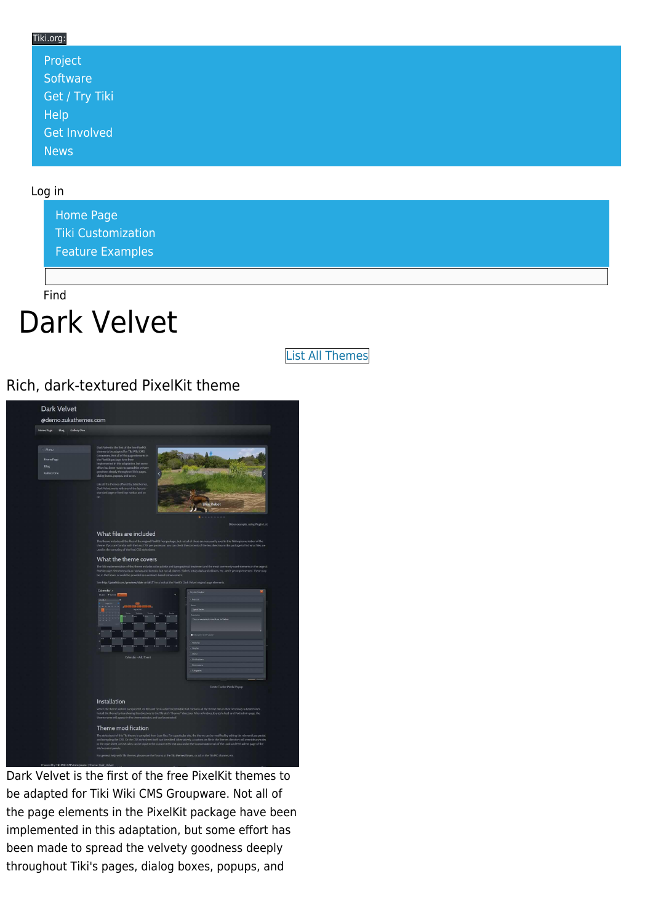#### Tiki.org: [Project](https://tiki.org/Project Introduction) **[Software](https://tiki.org/Software Overview and Model)** [Get / Try Tiki](https://tiki.org/Get Tiki - Try Tiki) [Help](https://tiki.org/Get Help) [Get Involved](https://tiki.org/Get Involved) [News](https://tiki.org/News)

#### Log in

[Home Page](https://themes.tiki.org/Themes) [Tiki Customization](https://themes.tiki.org/Tiki-Customization) [Feature Examples](#page--1-0)

Find

# Dark Velvet

[List All Themes](https://themes.tiki.org/marketplace%20themes)

Rich, dark-textured PixelKit theme

| @demo.zukathemes.com<br>Home Page<br>Blog<br>Gallery One |                                                                                                                                                                                                                                                                                                                                                                                                                                                                                                |                                                                                                                                                                                                                                                                                                                                                                                                                                                                                                  |
|----------------------------------------------------------|------------------------------------------------------------------------------------------------------------------------------------------------------------------------------------------------------------------------------------------------------------------------------------------------------------------------------------------------------------------------------------------------------------------------------------------------------------------------------------------------|--------------------------------------------------------------------------------------------------------------------------------------------------------------------------------------------------------------------------------------------------------------------------------------------------------------------------------------------------------------------------------------------------------------------------------------------------------------------------------------------------|
| · Menu<br>Home Page<br>Blog<br>Gallery One               | Dark Velvet is the first of the free PixelKit<br>themes to be adapted for Tiki Wiki CMS<br>Groupware. Not all of the page elements in<br>the PixellGt package have been<br>implemented in this adaptation, but some<br>effort has been made to spread the velvety<br>goodness deeply throughout Tiki's pages,<br>dialog boxes, popups, and so on.<br>Like all the themes offered by Zukathemes<br>Dark Velvet works with any of the layouts<br>standard page or fored top navbar, and so<br>on | <b>Blue Robot</b><br>$\mathbf{r}$<br>1.0.1.1.0<br>٠                                                                                                                                                                                                                                                                                                                                                                                                                                              |
|                                                          | What files are included<br>used in the compiling of the final CSS style sheet.<br>What the theme covers                                                                                                                                                                                                                                                                                                                                                                                        | Slider example, using Plugin List<br>This theme includes all the files of the original PoreBit free package, but not all of these are necessarily used in this Tild implementation of the<br>theme. If you are familiar with the Less CSS pre-processor, you can check the contents of the less directory in this package to find what files are<br>The Tiki implementation of this theme includes color palette and typographical treatment and the most commonly used elements in the original |
|                                                          | be, in the future, or could be provided as a contract-based enhancement.<br>See http://poxibit.com/previews/dark-ui-kit(3" for a look at the PoxiKit Dark Velvet original page elements.<br>Calendar »<br><b>Basic Hasting</b>                                                                                                                                                                                                                                                                 | PixelKit page elements such as navbars and buttons, but not all objects. Sliders, rotary dals and ribbons, etc. aren't yet implemented. These may<br><b>Create Today</b>                                                                                                                                                                                                                                                                                                                         |
|                                                          |                                                                                                                                                                                                                                                                                                                                                                                                                                                                                                | <b>Contra</b><br><b>This is an as</b><br>mediated a medical case for The                                                                                                                                                                                                                                                                                                                                                                                                                         |
|                                                          |                                                                                                                                                                                                                                                                                                                                                                                                                                                                                                | - -<br>Fastene                                                                                                                                                                                                                                                                                                                                                                                                                                                                                   |
|                                                          | Calondar - Add Fyort                                                                                                                                                                                                                                                                                                                                                                                                                                                                           | Oute<br><b>Gal</b><br>Artification<br>Permission                                                                                                                                                                                                                                                                                                                                                                                                                                                 |
|                                                          |                                                                                                                                                                                                                                                                                                                                                                                                                                                                                                | Colegories<br>Create Tracker Modal Popup                                                                                                                                                                                                                                                                                                                                                                                                                                                         |
|                                                          | Installation                                                                                                                                                                                                                                                                                                                                                                                                                                                                                   | When the theme archive is expanded, its files will be in a directory (folder) that contains all the theme files in their necessary subdirectories.<br>Install the theme by transferring this directory to the Tili site's "themes" directory. After reforsbioscitiny stark last freel admin page, the<br>theme name will appear in the theme selector, and can be selected.                                                                                                                      |

Dark Velvet is the first of the free PixelKit themes to be adapted for Tiki Wiki CMS Groupware. Not all of the page elements in the PixelKit package have been implemented in this adaptation, but some effort has been made to spread the velvety goodness deeply throughout Tiki's pages, dialog boxes, popups, and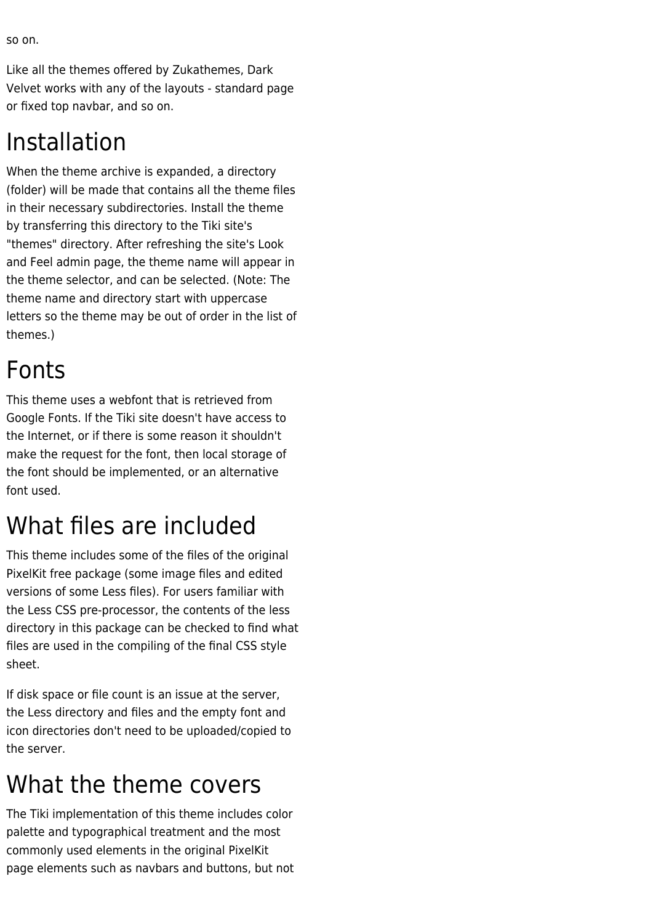so on.

Like all the themes offered by Zukathemes, Dark Velvet works with any of the layouts - standard page or fixed top navbar, and so on.

#### Installation

When the theme archive is expanded, a directory (folder) will be made that contains all the theme files in their necessary subdirectories. Install the theme by transferring this directory to the Tiki site's "themes" directory. After refreshing the site's Look and Feel admin page, the theme name will appear in the theme selector, and can be selected. (Note: The theme name and directory start with uppercase letters so the theme may be out of order in the list of themes.)

## Fonts

This theme uses a webfont that is retrieved from Google Fonts. If the Tiki site doesn't have access to the Internet, or if there is some reason it shouldn't make the request for the font, then local storage of the font should be implemented, or an alternative font used.

## What files are included

This theme includes some of the files of the original PixelKit free package (some image files and edited versions of some Less files). For users familiar with the Less CSS pre-processor, the contents of the less directory in this package can be checked to find what files are used in the compiling of the final CSS style sheet.

If disk space or file count is an issue at the server, the Less directory and files and the empty font and icon directories don't need to be uploaded/copied to the server.

#### What the theme covers

The Tiki implementation of this theme includes color palette and typographical treatment and the most commonly used elements in the original PixelKit page elements such as navbars and buttons, but not